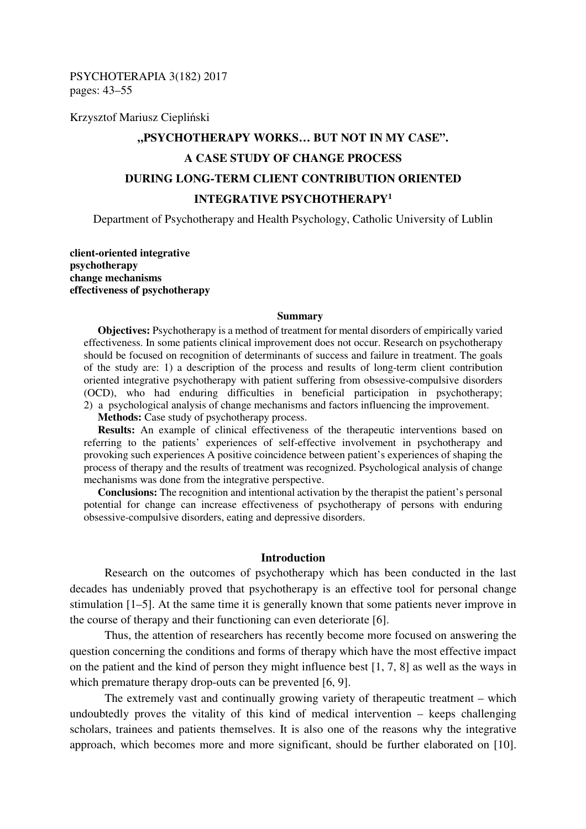PSYCHOTERAPIA 3(182) 2017 pages: 43–55

Krzysztof Mariusz Ciepliński

# **"PSYCHOTHERAPY WORKS… BUT NOT IN MY CASE". A CASE STUDY OF CHANGE PROCESS DURING LONG-TERM CLIENT CONTRIBUTION ORIENTED INTEGRATIVE PSYCHOTHERAPY<sup>1</sup>**

Department of Psychotherapy and Health Psychology, Catholic University of Lublin

**client-oriented integrative psychotherapy change mechanisms effectiveness of psychotherapy** 

#### **Summary**

**Objectives:** Psychotherapy is a method of treatment for mental disorders of empirically varied effectiveness. In some patients clinical improvement does not occur. Research on psychotherapy should be focused on recognition of determinants of success and failure in treatment. The goals of the study are: 1) a description of the process and results of long-term client contribution oriented integrative psychotherapy with patient suffering from obsessive-compulsive disorders (OCD), who had enduring difficulties in beneficial participation in psychotherapy; 2) a psychological analysis of change mechanisms and factors influencing the improvement.

**Methods:** Case study of psychotherapy process.

**Results:** An example of clinical effectiveness of the therapeutic interventions based on referring to the patients' experiences of self-effective involvement in psychotherapy and provoking such experiences A positive coincidence between patient's experiences of shaping the process of therapy and the results of treatment was recognized. Psychological analysis of change mechanisms was done from the integrative perspective.

**Conclusions:** The recognition and intentional activation by the therapist the patient's personal potential for change can increase effectiveness of psychotherapy of persons with enduring obsessive-compulsive disorders, eating and depressive disorders.

## **Introduction**

Research on the outcomes of psychotherapy which has been conducted in the last decades has undeniably proved that psychotherapy is an effective tool for personal change stimulation [1–5]. At the same time it is generally known that some patients never improve in the course of therapy and their functioning can even deteriorate [6].

Thus, the attention of researchers has recently become more focused on answering the question concerning the conditions and forms of therapy which have the most effective impact on the patient and the kind of person they might influence best [1, 7, 8] as well as the ways in which premature therapy drop-outs can be prevented [6, 9].

The extremely vast and continually growing variety of therapeutic treatment – which undoubtedly proves the vitality of this kind of medical intervention – keeps challenging scholars, trainees and patients themselves. It is also one of the reasons why the integrative approach, which becomes more and more significant, should be further elaborated on [10].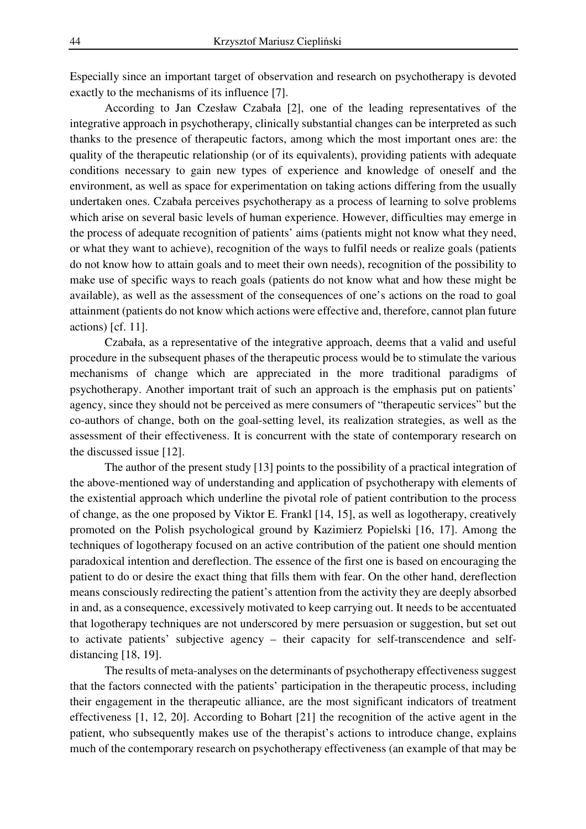Especially since an important target of observation and research on psychotherapy is devoted exactly to the mechanisms of its influence [7].

According to Jan Czesław Czabała [2], one of the leading representatives of the integrative approach in psychotherapy, clinically substantial changes can be interpreted as such thanks to the presence of therapeutic factors, among which the most important ones are: the quality of the therapeutic relationship (or of its equivalents), providing patients with adequate conditions necessary to gain new types of experience and knowledge of oneself and the environment, as well as space for experimentation on taking actions differing from the usually undertaken ones. Czabała perceives psychotherapy as a process of learning to solve problems which arise on several basic levels of human experience. However, difficulties may emerge in the process of adequate recognition of patients' aims (patients might not know what they need, or what they want to achieve), recognition of the ways to fulfil needs or realize goals (patients do not know how to attain goals and to meet their own needs), recognition of the possibility to make use of specific ways to reach goals (patients do not know what and how these might be available), as well as the assessment of the consequences of one's actions on the road to goal attainment (patients do not know which actions were effective and, therefore, cannot plan future actions) [cf. 11].

Czabała, as a representative of the integrative approach, deems that a valid and useful procedure in the subsequent phases of the therapeutic process would be to stimulate the various mechanisms of change which are appreciated in the more traditional paradigms of psychotherapy. Another important trait of such an approach is the emphasis put on patients' agency, since they should not be perceived as mere consumers of "therapeutic services" but the co-authors of change, both on the goal-setting level, its realization strategies, as well as the assessment of their effectiveness. It is concurrent with the state of contemporary research on the discussed issue [12].

The author of the present study [13] points to the possibility of a practical integration of the above-mentioned way of understanding and application of psychotherapy with elements of the existential approach which underline the pivotal role of patient contribution to the process of change, as the one proposed by Viktor E. Frankl [14, 15], as well as logotherapy, creatively promoted on the Polish psychological ground by Kazimierz Popielski [16, 17]. Among the techniques of logotherapy focused on an active contribution of the patient one should mention paradoxical intention and dereflection. The essence of the first one is based on encouraging the patient to do or desire the exact thing that fills them with fear. On the other hand, dereflection means consciously redirecting the patient's attention from the activity they are deeply absorbed in and, as a consequence, excessively motivated to keep carrying out. It needs to be accentuated that logotherapy techniques are not underscored by mere persuasion or suggestion, but set out to activate patients' subjective agency – their capacity for self-transcendence and selfdistancing [18, 19].

The results of meta-analyses on the determinants of psychotherapy effectiveness suggest that the factors connected with the patients' participation in the therapeutic process, including their engagement in the therapeutic alliance, are the most significant indicators of treatment effectiveness [1, 12, 20]. According to Bohart [21] the recognition of the active agent in the patient, who subsequently makes use of the therapist's actions to introduce change, explains much of the contemporary research on psychotherapy effectiveness (an example of that may be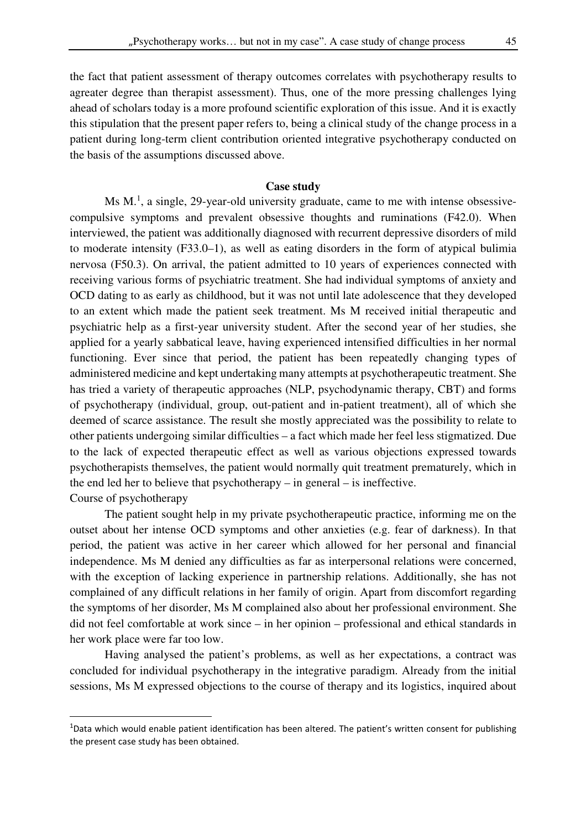the fact that patient assessment of therapy outcomes correlates with psychotherapy results to agreater degree than therapist assessment). Thus, one of the more pressing challenges lying ahead of scholars today is a more profound scientific exploration of this issue. And it is exactly this stipulation that the present paper refers to, being a clinical study of the change process in a patient during long-term client contribution oriented integrative psychotherapy conducted on the basis of the assumptions discussed above.

#### **Case study**

Ms  $M<sup>1</sup>$ , a single, 29-year-old university graduate, came to me with intense obsessivecompulsive symptoms and prevalent obsessive thoughts and ruminations (F42.0). When interviewed, the patient was additionally diagnosed with recurrent depressive disorders of mild to moderate intensity (F33.0–1), as well as eating disorders in the form of atypical bulimia nervosa (F50.3). On arrival, the patient admitted to 10 years of experiences connected with receiving various forms of psychiatric treatment. She had individual symptoms of anxiety and OCD dating to as early as childhood, but it was not until late adolescence that they developed to an extent which made the patient seek treatment. Ms M received initial therapeutic and psychiatric help as a first-year university student. After the second year of her studies, she applied for a yearly sabbatical leave, having experienced intensified difficulties in her normal functioning. Ever since that period, the patient has been repeatedly changing types of administered medicine and kept undertaking many attempts at psychotherapeutic treatment. She has tried a variety of therapeutic approaches (NLP, psychodynamic therapy, CBT) and forms of psychotherapy (individual, group, out-patient and in-patient treatment), all of which she deemed of scarce assistance. The result she mostly appreciated was the possibility to relate to other patients undergoing similar difficulties – a fact which made her feel less stigmatized. Due to the lack of expected therapeutic effect as well as various objections expressed towards psychotherapists themselves, the patient would normally quit treatment prematurely, which in the end led her to believe that psychotherapy – in general – is ineffective. Course of psychotherapy

The patient sought help in my private psychotherapeutic practice, informing me on the outset about her intense OCD symptoms and other anxieties (e.g. fear of darkness). In that period, the patient was active in her career which allowed for her personal and financial independence. Ms M denied any difficulties as far as interpersonal relations were concerned, with the exception of lacking experience in partnership relations. Additionally, she has not complained of any difficult relations in her family of origin. Apart from discomfort regarding the symptoms of her disorder, Ms M complained also about her professional environment. She did not feel comfortable at work since – in her opinion – professional and ethical standards in her work place were far too low.

Having analysed the patient's problems, as well as her expectations, a contract was concluded for individual psychotherapy in the integrative paradigm. Already from the initial sessions, Ms M expressed objections to the course of therapy and its logistics, inquired about

l

 $1$ Data which would enable patient identification has been altered. The patient's written consent for publishing the present case study has been obtained.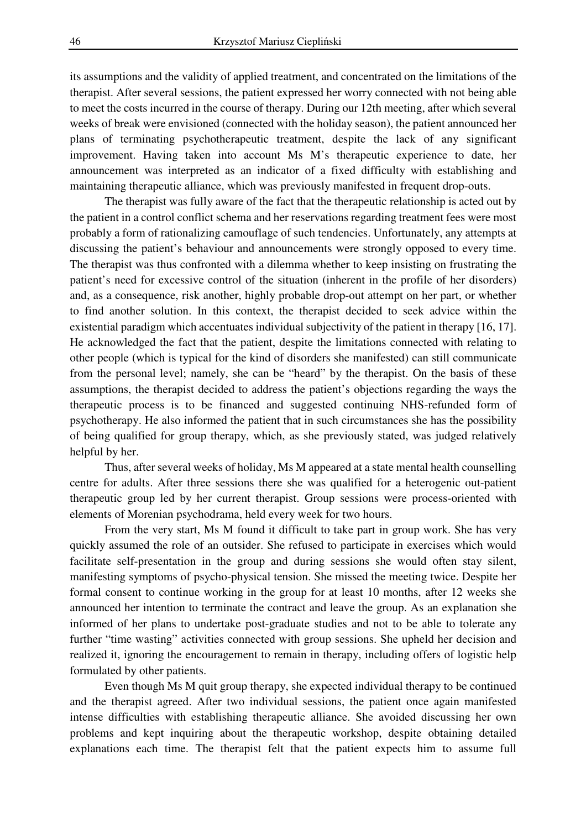its assumptions and the validity of applied treatment, and concentrated on the limitations of the therapist. After several sessions, the patient expressed her worry connected with not being able to meet the costs incurred in the course of therapy. During our 12th meeting, after which several weeks of break were envisioned (connected with the holiday season), the patient announced her plans of terminating psychotherapeutic treatment, despite the lack of any significant improvement. Having taken into account Ms M's therapeutic experience to date, her announcement was interpreted as an indicator of a fixed difficulty with establishing and maintaining therapeutic alliance, which was previously manifested in frequent drop-outs.

The therapist was fully aware of the fact that the therapeutic relationship is acted out by the patient in a control conflict schema and her reservations regarding treatment fees were most probably a form of rationalizing camouflage of such tendencies. Unfortunately, any attempts at discussing the patient's behaviour and announcements were strongly opposed to every time. The therapist was thus confronted with a dilemma whether to keep insisting on frustrating the patient's need for excessive control of the situation (inherent in the profile of her disorders) and, as a consequence, risk another, highly probable drop-out attempt on her part, or whether to find another solution. In this context, the therapist decided to seek advice within the existential paradigm which accentuates individual subjectivity of the patient in therapy [16, 17]. He acknowledged the fact that the patient, despite the limitations connected with relating to other people (which is typical for the kind of disorders she manifested) can still communicate from the personal level; namely, she can be "heard" by the therapist. On the basis of these assumptions, the therapist decided to address the patient's objections regarding the ways the therapeutic process is to be financed and suggested continuing NHS-refunded form of psychotherapy. He also informed the patient that in such circumstances she has the possibility of being qualified for group therapy, which, as she previously stated, was judged relatively helpful by her.

Thus, after several weeks of holiday, Ms M appeared at a state mental health counselling centre for adults. After three sessions there she was qualified for a heterogenic out-patient therapeutic group led by her current therapist. Group sessions were process-oriented with elements of Morenian psychodrama, held every week for two hours.

From the very start, Ms M found it difficult to take part in group work. She has very quickly assumed the role of an outsider. She refused to participate in exercises which would facilitate self-presentation in the group and during sessions she would often stay silent, manifesting symptoms of psycho-physical tension. She missed the meeting twice. Despite her formal consent to continue working in the group for at least 10 months, after 12 weeks she announced her intention to terminate the contract and leave the group. As an explanation she informed of her plans to undertake post-graduate studies and not to be able to tolerate any further "time wasting" activities connected with group sessions. She upheld her decision and realized it, ignoring the encouragement to remain in therapy, including offers of logistic help formulated by other patients.

Even though Ms M quit group therapy, she expected individual therapy to be continued and the therapist agreed. After two individual sessions, the patient once again manifested intense difficulties with establishing therapeutic alliance. She avoided discussing her own problems and kept inquiring about the therapeutic workshop, despite obtaining detailed explanations each time. The therapist felt that the patient expects him to assume full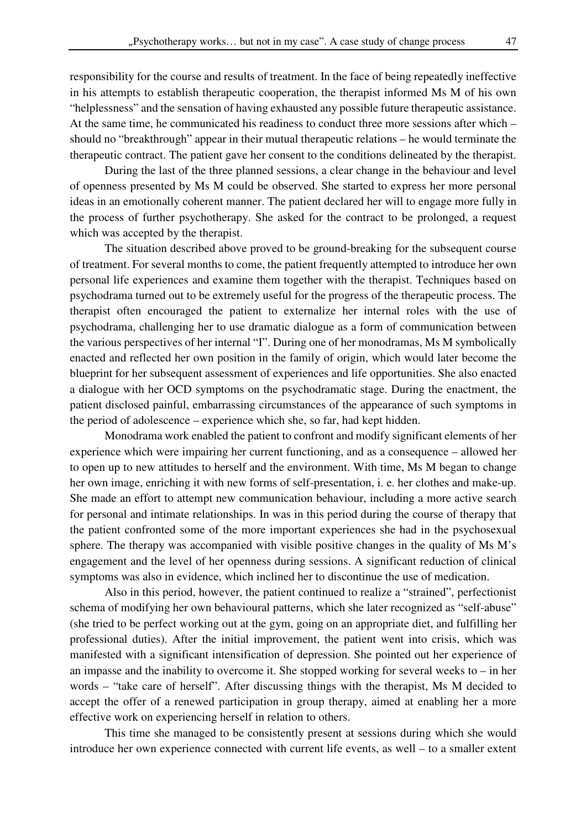responsibility for the course and results of treatment. In the face of being repeatedly ineffective in his attempts to establish therapeutic cooperation, the therapist informed Ms M of his own "helplessness" and the sensation of having exhausted any possible future therapeutic assistance. At the same time, he communicated his readiness to conduct three more sessions after which – should no "breakthrough" appear in their mutual therapeutic relations – he would terminate the therapeutic contract. The patient gave her consent to the conditions delineated by the therapist.

During the last of the three planned sessions, a clear change in the behaviour and level of openness presented by Ms M could be observed. She started to express her more personal ideas in an emotionally coherent manner. The patient declared her will to engage more fully in the process of further psychotherapy. She asked for the contract to be prolonged, a request which was accepted by the therapist.

The situation described above proved to be ground-breaking for the subsequent course of treatment. For several months to come, the patient frequently attempted to introduce her own personal life experiences and examine them together with the therapist. Techniques based on psychodrama turned out to be extremely useful for the progress of the therapeutic process. The therapist often encouraged the patient to externalize her internal roles with the use of psychodrama, challenging her to use dramatic dialogue as a form of communication between the various perspectives of her internal "I". During one of her monodramas, Ms M symbolically enacted and reflected her own position in the family of origin, which would later become the blueprint for her subsequent assessment of experiences and life opportunities. She also enacted a dialogue with her OCD symptoms on the psychodramatic stage. During the enactment, the patient disclosed painful, embarrassing circumstances of the appearance of such symptoms in the period of adolescence – experience which she, so far, had kept hidden.

Monodrama work enabled the patient to confront and modify significant elements of her experience which were impairing her current functioning, and as a consequence – allowed her to open up to new attitudes to herself and the environment. With time, Ms M began to change her own image, enriching it with new forms of self-presentation, i. e. her clothes and make-up. She made an effort to attempt new communication behaviour, including a more active search for personal and intimate relationships. In was in this period during the course of therapy that the patient confronted some of the more important experiences she had in the psychosexual sphere. The therapy was accompanied with visible positive changes in the quality of Ms M's engagement and the level of her openness during sessions. A significant reduction of clinical symptoms was also in evidence, which inclined her to discontinue the use of medication.

Also in this period, however, the patient continued to realize a "strained", perfectionist schema of modifying her own behavioural patterns, which she later recognized as "self-abuse" (she tried to be perfect working out at the gym, going on an appropriate diet, and fulfilling her professional duties). After the initial improvement, the patient went into crisis, which was manifested with a significant intensification of depression. She pointed out her experience of an impasse and the inability to overcome it. She stopped working for several weeks to – in her words – "take care of herself". After discussing things with the therapist, Ms M decided to accept the offer of a renewed participation in group therapy, aimed at enabling her a more effective work on experiencing herself in relation to others.

This time she managed to be consistently present at sessions during which she would introduce her own experience connected with current life events, as well – to a smaller extent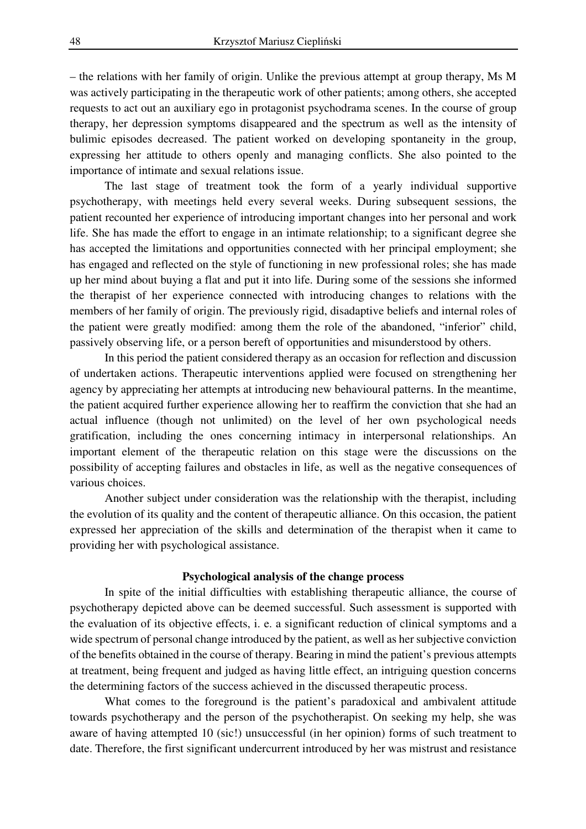– the relations with her family of origin. Unlike the previous attempt at group therapy, Ms M was actively participating in the therapeutic work of other patients; among others, she accepted requests to act out an auxiliary ego in protagonist psychodrama scenes. In the course of group therapy, her depression symptoms disappeared and the spectrum as well as the intensity of bulimic episodes decreased. The patient worked on developing spontaneity in the group, expressing her attitude to others openly and managing conflicts. She also pointed to the importance of intimate and sexual relations issue.

The last stage of treatment took the form of a yearly individual supportive psychotherapy, with meetings held every several weeks. During subsequent sessions, the patient recounted her experience of introducing important changes into her personal and work life. She has made the effort to engage in an intimate relationship; to a significant degree she has accepted the limitations and opportunities connected with her principal employment; she has engaged and reflected on the style of functioning in new professional roles; she has made up her mind about buying a flat and put it into life. During some of the sessions she informed the therapist of her experience connected with introducing changes to relations with the members of her family of origin. The previously rigid, disadaptive beliefs and internal roles of the patient were greatly modified: among them the role of the abandoned, "inferior" child, passively observing life, or a person bereft of opportunities and misunderstood by others.

In this period the patient considered therapy as an occasion for reflection and discussion of undertaken actions. Therapeutic interventions applied were focused on strengthening her agency by appreciating her attempts at introducing new behavioural patterns. In the meantime, the patient acquired further experience allowing her to reaffirm the conviction that she had an actual influence (though not unlimited) on the level of her own psychological needs gratification, including the ones concerning intimacy in interpersonal relationships. An important element of the therapeutic relation on this stage were the discussions on the possibility of accepting failures and obstacles in life, as well as the negative consequences of various choices.

Another subject under consideration was the relationship with the therapist, including the evolution of its quality and the content of therapeutic alliance. On this occasion, the patient expressed her appreciation of the skills and determination of the therapist when it came to providing her with psychological assistance.

#### **Psychological analysis of the change process**

In spite of the initial difficulties with establishing therapeutic alliance, the course of psychotherapy depicted above can be deemed successful. Such assessment is supported with the evaluation of its objective effects, i. e. a significant reduction of clinical symptoms and a wide spectrum of personal change introduced by the patient, as well as her subjective conviction of the benefits obtained in the course of therapy. Bearing in mind the patient's previous attempts at treatment, being frequent and judged as having little effect, an intriguing question concerns the determining factors of the success achieved in the discussed therapeutic process.

What comes to the foreground is the patient's paradoxical and ambivalent attitude towards psychotherapy and the person of the psychotherapist. On seeking my help, she was aware of having attempted 10 (sic!) unsuccessful (in her opinion) forms of such treatment to date. Therefore, the first significant undercurrent introduced by her was mistrust and resistance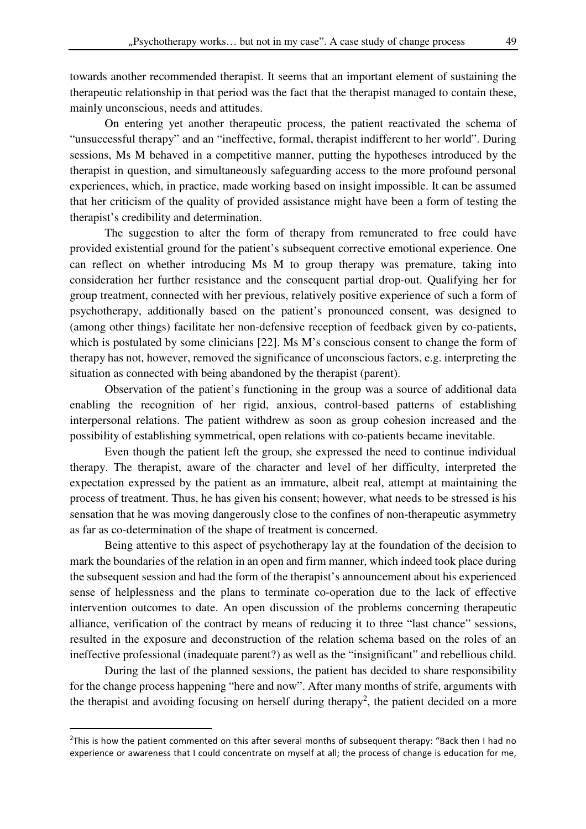towards another recommended therapist. It seems that an important element of sustaining the therapeutic relationship in that period was the fact that the therapist managed to contain these, mainly unconscious, needs and attitudes.

On entering yet another therapeutic process, the patient reactivated the schema of "unsuccessful therapy" and an "ineffective, formal, therapist indifferent to her world". During sessions, Ms M behaved in a competitive manner, putting the hypotheses introduced by the therapist in question, and simultaneously safeguarding access to the more profound personal experiences, which, in practice, made working based on insight impossible. It can be assumed that her criticism of the quality of provided assistance might have been a form of testing the therapist's credibility and determination.

The suggestion to alter the form of therapy from remunerated to free could have provided existential ground for the patient's subsequent corrective emotional experience. One can reflect on whether introducing Ms M to group therapy was premature, taking into consideration her further resistance and the consequent partial drop-out. Qualifying her for group treatment, connected with her previous, relatively positive experience of such a form of psychotherapy, additionally based on the patient's pronounced consent, was designed to (among other things) facilitate her non-defensive reception of feedback given by co-patients, which is postulated by some clinicians [22]. Ms M's conscious consent to change the form of therapy has not, however, removed the significance of unconscious factors, e.g. interpreting the situation as connected with being abandoned by the therapist (parent).

Observation of the patient's functioning in the group was a source of additional data enabling the recognition of her rigid, anxious, control-based patterns of establishing interpersonal relations. The patient withdrew as soon as group cohesion increased and the possibility of establishing symmetrical, open relations with co-patients became inevitable.

Even though the patient left the group, she expressed the need to continue individual therapy. The therapist, aware of the character and level of her difficulty, interpreted the expectation expressed by the patient as an immature, albeit real, attempt at maintaining the process of treatment. Thus, he has given his consent; however, what needs to be stressed is his sensation that he was moving dangerously close to the confines of non-therapeutic asymmetry as far as co-determination of the shape of treatment is concerned.

Being attentive to this aspect of psychotherapy lay at the foundation of the decision to mark the boundaries of the relation in an open and firm manner, which indeed took place during the subsequent session and had the form of the therapist's announcement about his experienced sense of helplessness and the plans to terminate co-operation due to the lack of effective intervention outcomes to date. An open discussion of the problems concerning therapeutic alliance, verification of the contract by means of reducing it to three "last chance" sessions, resulted in the exposure and deconstruction of the relation schema based on the roles of an ineffective professional (inadequate parent?) as well as the "insignificant" and rebellious child.

During the last of the planned sessions, the patient has decided to share responsibility for the change process happening "here and now". After many months of strife, arguments with the therapist and avoiding focusing on herself during therapy<sup>2</sup>, the patient decided on a more

 $\overline{a}$ 

<sup>&</sup>lt;sup>2</sup>This is how the patient commented on this after several months of subsequent therapy: "Back then I had no experience or awareness that I could concentrate on myself at all; the process of change is education for me,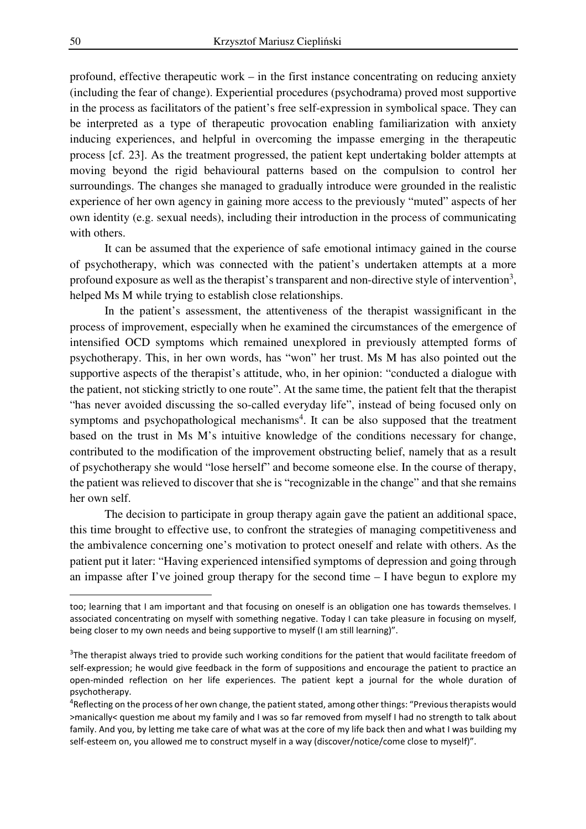profound, effective therapeutic work – in the first instance concentrating on reducing anxiety (including the fear of change). Experiential procedures (psychodrama) proved most supportive in the process as facilitators of the patient's free self-expression in symbolical space. They can be interpreted as a type of therapeutic provocation enabling familiarization with anxiety inducing experiences, and helpful in overcoming the impasse emerging in the therapeutic process [cf. 23]. As the treatment progressed, the patient kept undertaking bolder attempts at moving beyond the rigid behavioural patterns based on the compulsion to control her surroundings. The changes she managed to gradually introduce were grounded in the realistic experience of her own agency in gaining more access to the previously "muted" aspects of her own identity (e.g. sexual needs), including their introduction in the process of communicating with others.

It can be assumed that the experience of safe emotional intimacy gained in the course of psychotherapy, which was connected with the patient's undertaken attempts at a more profound exposure as well as the therapist's transparent and non-directive style of intervention<sup>3</sup>, helped Ms M while trying to establish close relationships.

In the patient's assessment, the attentiveness of the therapist wassignificant in the process of improvement, especially when he examined the circumstances of the emergence of intensified OCD symptoms which remained unexplored in previously attempted forms of psychotherapy. This, in her own words, has "won" her trust. Ms M has also pointed out the supportive aspects of the therapist's attitude, who, in her opinion: "conducted a dialogue with the patient, not sticking strictly to one route". At the same time, the patient felt that the therapist "has never avoided discussing the so-called everyday life", instead of being focused only on symptoms and psychopathological mechanisms<sup>4</sup>. It can be also supposed that the treatment based on the trust in Ms M's intuitive knowledge of the conditions necessary for change, contributed to the modification of the improvement obstructing belief, namely that as a result of psychotherapy she would "lose herself" and become someone else. In the course of therapy, the patient was relieved to discover that she is "recognizable in the change" and that she remains her own self.

The decision to participate in group therapy again gave the patient an additional space, this time brought to effective use, to confront the strategies of managing competitiveness and the ambivalence concerning one's motivation to protect oneself and relate with others. As the patient put it later: "Having experienced intensified symptoms of depression and going through an impasse after I've joined group therapy for the second time – I have begun to explore my

l

too; learning that I am important and that focusing on oneself is an obligation one has towards themselves. I associated concentrating on myself with something negative. Today I can take pleasure in focusing on myself, being closer to my own needs and being supportive to myself (I am still learning)".

 $3$ The therapist always tried to provide such working conditions for the patient that would facilitate freedom of self-expression; he would give feedback in the form of suppositions and encourage the patient to practice an open-minded reflection on her life experiences. The patient kept a journal for the whole duration of psychotherapy.

<sup>&</sup>lt;sup>4</sup>Reflecting on the process of her own change, the patient stated, among other things: "Previous therapists would >manically< question me about my family and I was so far removed from myself I had no strength to talk about family. And you, by letting me take care of what was at the core of my life back then and what I was building my self-esteem on, you allowed me to construct myself in a way (discover/notice/come close to myself)".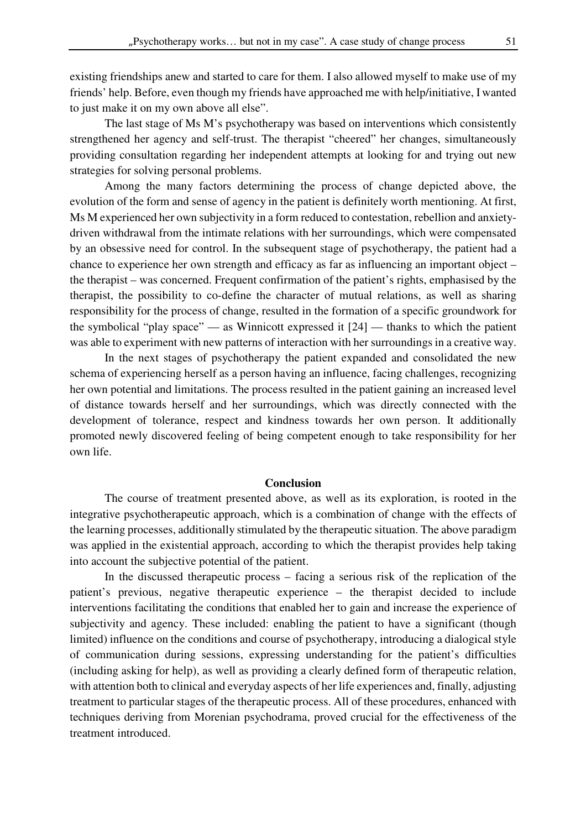existing friendships anew and started to care for them. I also allowed myself to make use of my friends' help. Before, even though my friends have approached me with help/initiative, I wanted to just make it on my own above all else".

The last stage of Ms M's psychotherapy was based on interventions which consistently strengthened her agency and self-trust. The therapist "cheered" her changes, simultaneously providing consultation regarding her independent attempts at looking for and trying out new strategies for solving personal problems.

Among the many factors determining the process of change depicted above, the evolution of the form and sense of agency in the patient is definitely worth mentioning. At first, Ms M experienced her own subjectivity in a form reduced to contestation, rebellion and anxietydriven withdrawal from the intimate relations with her surroundings, which were compensated by an obsessive need for control. In the subsequent stage of psychotherapy, the patient had a chance to experience her own strength and efficacy as far as influencing an important object – the therapist – was concerned. Frequent confirmation of the patient's rights, emphasised by the therapist, the possibility to co-define the character of mutual relations, as well as sharing responsibility for the process of change, resulted in the formation of a specific groundwork for the symbolical "play space" — as Winnicott expressed it [24] — thanks to which the patient was able to experiment with new patterns of interaction with her surroundings in a creative way.

In the next stages of psychotherapy the patient expanded and consolidated the new schema of experiencing herself as a person having an influence, facing challenges, recognizing her own potential and limitations. The process resulted in the patient gaining an increased level of distance towards herself and her surroundings, which was directly connected with the development of tolerance, respect and kindness towards her own person. It additionally promoted newly discovered feeling of being competent enough to take responsibility for her own life.

#### **Conclusion**

 The course of treatment presented above, as well as its exploration, is rooted in the integrative psychotherapeutic approach, which is a combination of change with the effects of the learning processes, additionally stimulated by the therapeutic situation. The above paradigm was applied in the existential approach, according to which the therapist provides help taking into account the subjective potential of the patient.

In the discussed therapeutic process – facing a serious risk of the replication of the patient's previous, negative therapeutic experience – the therapist decided to include interventions facilitating the conditions that enabled her to gain and increase the experience of subjectivity and agency. These included: enabling the patient to have a significant (though limited) influence on the conditions and course of psychotherapy, introducing a dialogical style of communication during sessions, expressing understanding for the patient's difficulties (including asking for help), as well as providing a clearly defined form of therapeutic relation, with attention both to clinical and everyday aspects of her life experiences and, finally, adjusting treatment to particular stages of the therapeutic process. All of these procedures, enhanced with techniques deriving from Morenian psychodrama, proved crucial for the effectiveness of the treatment introduced.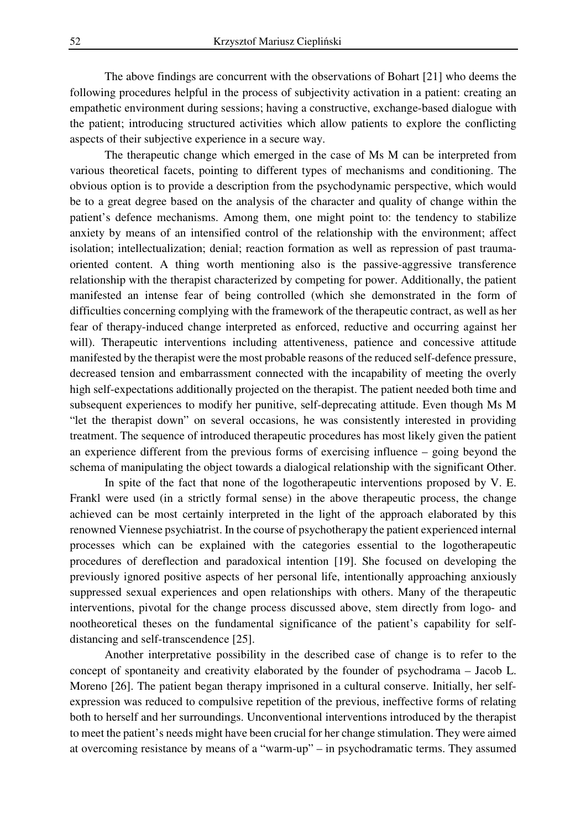The above findings are concurrent with the observations of Bohart [21] who deems the following procedures helpful in the process of subjectivity activation in a patient: creating an empathetic environment during sessions; having a constructive, exchange-based dialogue with the patient; introducing structured activities which allow patients to explore the conflicting aspects of their subjective experience in a secure way.

The therapeutic change which emerged in the case of Ms M can be interpreted from various theoretical facets, pointing to different types of mechanisms and conditioning. The obvious option is to provide a description from the psychodynamic perspective, which would be to a great degree based on the analysis of the character and quality of change within the patient's defence mechanisms. Among them, one might point to: the tendency to stabilize anxiety by means of an intensified control of the relationship with the environment; affect isolation; intellectualization; denial; reaction formation as well as repression of past traumaoriented content. A thing worth mentioning also is the passive-aggressive transference relationship with the therapist characterized by competing for power. Additionally, the patient manifested an intense fear of being controlled (which she demonstrated in the form of difficulties concerning complying with the framework of the therapeutic contract, as well as her fear of therapy-induced change interpreted as enforced, reductive and occurring against her will). Therapeutic interventions including attentiveness, patience and concessive attitude manifested by the therapist were the most probable reasons of the reduced self-defence pressure, decreased tension and embarrassment connected with the incapability of meeting the overly high self-expectations additionally projected on the therapist. The patient needed both time and subsequent experiences to modify her punitive, self-deprecating attitude. Even though Ms M "let the therapist down" on several occasions, he was consistently interested in providing treatment. The sequence of introduced therapeutic procedures has most likely given the patient an experience different from the previous forms of exercising influence – going beyond the schema of manipulating the object towards a dialogical relationship with the significant Other.

In spite of the fact that none of the logotherapeutic interventions proposed by V. E. Frankl were used (in a strictly formal sense) in the above therapeutic process, the change achieved can be most certainly interpreted in the light of the approach elaborated by this renowned Viennese psychiatrist. In the course of psychotherapy the patient experienced internal processes which can be explained with the categories essential to the logotherapeutic procedures of dereflection and paradoxical intention [19]. She focused on developing the previously ignored positive aspects of her personal life, intentionally approaching anxiously suppressed sexual experiences and open relationships with others. Many of the therapeutic interventions, pivotal for the change process discussed above, stem directly from logo- and nootheoretical theses on the fundamental significance of the patient's capability for selfdistancing and self-transcendence [25].

Another interpretative possibility in the described case of change is to refer to the concept of spontaneity and creativity elaborated by the founder of psychodrama – Jacob L. Moreno [26]. The patient began therapy imprisoned in a cultural conserve. Initially, her selfexpression was reduced to compulsive repetition of the previous, ineffective forms of relating both to herself and her surroundings. Unconventional interventions introduced by the therapist to meet the patient's needs might have been crucial for her change stimulation. They were aimed at overcoming resistance by means of a "warm-up" – in psychodramatic terms. They assumed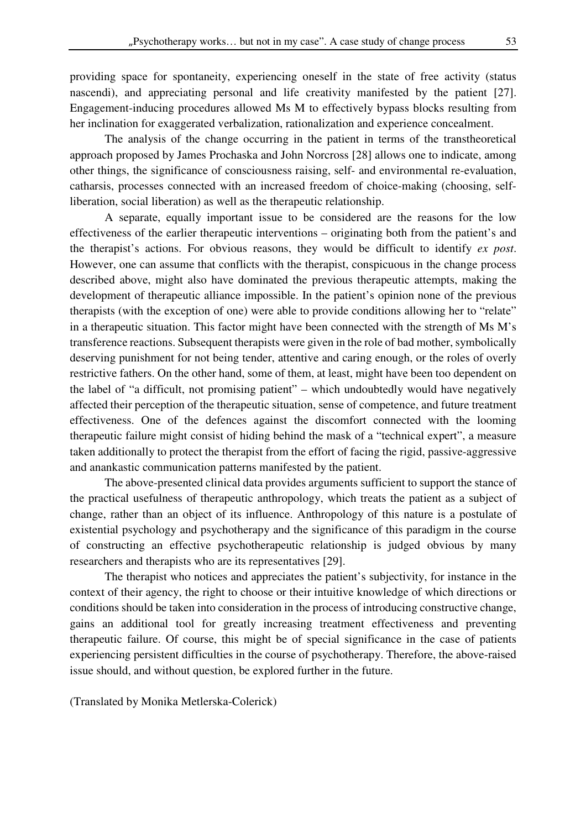providing space for spontaneity, experiencing oneself in the state of free activity (status nascendi), and appreciating personal and life creativity manifested by the patient [27]. Engagement-inducing procedures allowed Ms M to effectively bypass blocks resulting from her inclination for exaggerated verbalization, rationalization and experience concealment.

The analysis of the change occurring in the patient in terms of the transtheoretical approach proposed by James Prochaska and John Norcross [28] allows one to indicate, among other things, the significance of consciousness raising, self- and environmental re-evaluation, catharsis, processes connected with an increased freedom of choice-making (choosing, selfliberation, social liberation) as well as the therapeutic relationship.

A separate, equally important issue to be considered are the reasons for the low effectiveness of the earlier therapeutic interventions – originating both from the patient's and the therapist's actions. For obvious reasons, they would be difficult to identify *ex post*. However, one can assume that conflicts with the therapist, conspicuous in the change process described above, might also have dominated the previous therapeutic attempts, making the development of therapeutic alliance impossible. In the patient's opinion none of the previous therapists (with the exception of one) were able to provide conditions allowing her to "relate" in a therapeutic situation. This factor might have been connected with the strength of Ms M's transference reactions. Subsequent therapists were given in the role of bad mother, symbolically deserving punishment for not being tender, attentive and caring enough, or the roles of overly restrictive fathers. On the other hand, some of them, at least, might have been too dependent on the label of "a difficult, not promising patient" – which undoubtedly would have negatively affected their perception of the therapeutic situation, sense of competence, and future treatment effectiveness. One of the defences against the discomfort connected with the looming therapeutic failure might consist of hiding behind the mask of a "technical expert", a measure taken additionally to protect the therapist from the effort of facing the rigid, passive-aggressive and anankastic communication patterns manifested by the patient.

The above-presented clinical data provides arguments sufficient to support the stance of the practical usefulness of therapeutic anthropology, which treats the patient as a subject of change, rather than an object of its influence. Anthropology of this nature is a postulate of existential psychology and psychotherapy and the significance of this paradigm in the course of constructing an effective psychotherapeutic relationship is judged obvious by many researchers and therapists who are its representatives [29].

The therapist who notices and appreciates the patient's subjectivity, for instance in the context of their agency, the right to choose or their intuitive knowledge of which directions or conditions should be taken into consideration in the process of introducing constructive change, gains an additional tool for greatly increasing treatment effectiveness and preventing therapeutic failure. Of course, this might be of special significance in the case of patients experiencing persistent difficulties in the course of psychotherapy. Therefore, the above-raised issue should, and without question, be explored further in the future.

(Translated by Monika Metlerska-Colerick)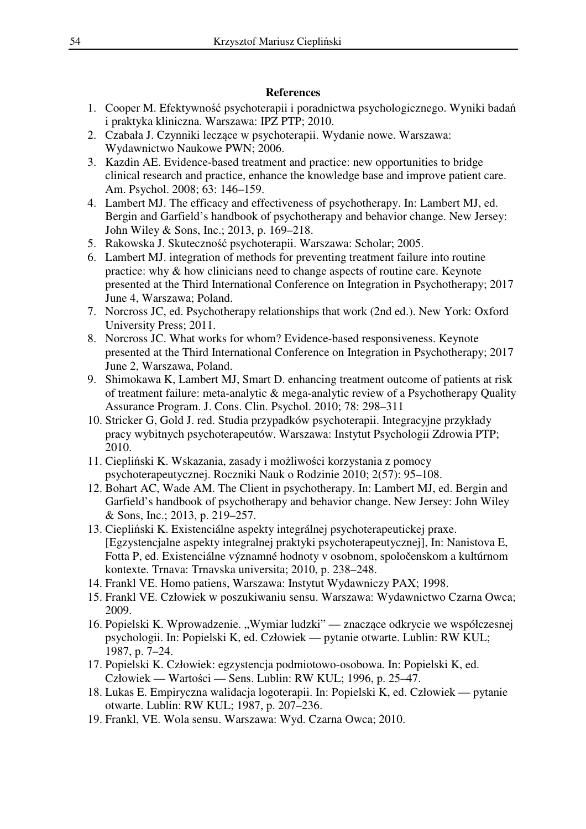## **References**

- 1. Cooper M. Efektywność psychoterapii i poradnictwa psychologicznego. Wyniki badań i praktyka kliniczna. Warszawa: IPZ PTP; 2010.
- 2. Czabała J. Czynniki leczące w psychoterapii. Wydanie nowe. Warszawa: Wydawnictwo Naukowe PWN; 2006.
- 3. Kazdin AE. Evidence-based treatment and practice: new opportunities to bridge clinical research and practice, enhance the knowledge base and improve patient care. Am. Psychol. 2008; 63: 146–159.
- 4. Lambert MJ. The efficacy and effectiveness of psychotherapy. In: Lambert MJ, ed. Bergin and Garfield's handbook of psychotherapy and behavior change. New Jersey: John Wiley & Sons, Inc.; 2013, p. 169–218.
- 5. Rakowska J. Skuteczność psychoterapii. Warszawa: Scholar; 2005.
- 6. Lambert MJ. integration of methods for preventing treatment failure into routine practice: why & how clinicians need to change aspects of routine care. Keynote presented at the Third International Conference on Integration in Psychotherapy; 2017 June 4, Warszawa; Poland.
- 7. Norcross JC, ed. Psychotherapy relationships that work (2nd ed.). New York: Oxford University Press; 2011.
- 8. Norcross JC. What works for whom? Evidence-based responsiveness. Keynote presented at the Third International Conference on Integration in Psychotherapy; 2017 June 2, Warszawa, Poland.
- 9. Shimokawa K, Lambert MJ, Smart D. enhancing treatment outcome of patients at risk of treatment failure: meta-analytic & mega-analytic review of a Psychotherapy Quality Assurance Program. J. Cons. Clin. Psychol. 2010; 78: 298–311
- 10. Stricker G, Gold J. red. Studia przypadków psychoterapii. Integracyjne przykłady pracy wybitnych psychoterapeutów. Warszawa: Instytut Psychologii Zdrowia PTP; 2010.
- 11. Ciepliński K. Wskazania, zasady i możliwości korzystania z pomocy psychoterapeutycznej. Roczniki Nauk o Rodzinie 2010; 2(57): 95–108.
- 12. Bohart AC, Wade AM. The Client in psychotherapy. In: Lambert MJ, ed. Bergin and Garfield's handbook of psychotherapy and behavior change. New Jersey: John Wiley & Sons, Inc.; 2013, p. 219–257.
- 13. Ciepliński K. Existenciálne aspekty integrálnej psychoterapeutickej praxe. [Egzystencjalne aspekty integralnej praktyki psychoterapeutycznej], In: Nanistova E, Fotta P, ed. Existenciálne významné hodnoty v osobnom, spoločenskom a kultúrnom kontexte. Trnava: Trnavska universita; 2010, p. 238–248.
- 14. Frankl VE. Homo patiens, Warszawa: Instytut Wydawniczy PAX; 1998.
- 15. Frankl VE. Człowiek w poszukiwaniu sensu. Warszawa: Wydawnictwo Czarna Owca; 2009.
- 16. Popielski K. Wprowadzenie. "Wymiar ludzki" znaczące odkrycie we współczesnej psychologii. In: Popielski K, ed. Człowiek — pytanie otwarte. Lublin: RW KUL; 1987, p. 7–24.
- 17. Popielski K. Człowiek: egzystencja podmiotowo-osobowa. In: Popielski K, ed. Człowiek — Wartości — Sens. Lublin: RW KUL; 1996, p. 25–47.
- 18. Lukas E. Empiryczna walidacja logoterapii. In: Popielski K, ed. Człowiek pytanie otwarte. Lublin: RW KUL; 1987, p. 207–236.
- 19. Frankl, VE. Wola sensu. Warszawa: Wyd. Czarna Owca; 2010.